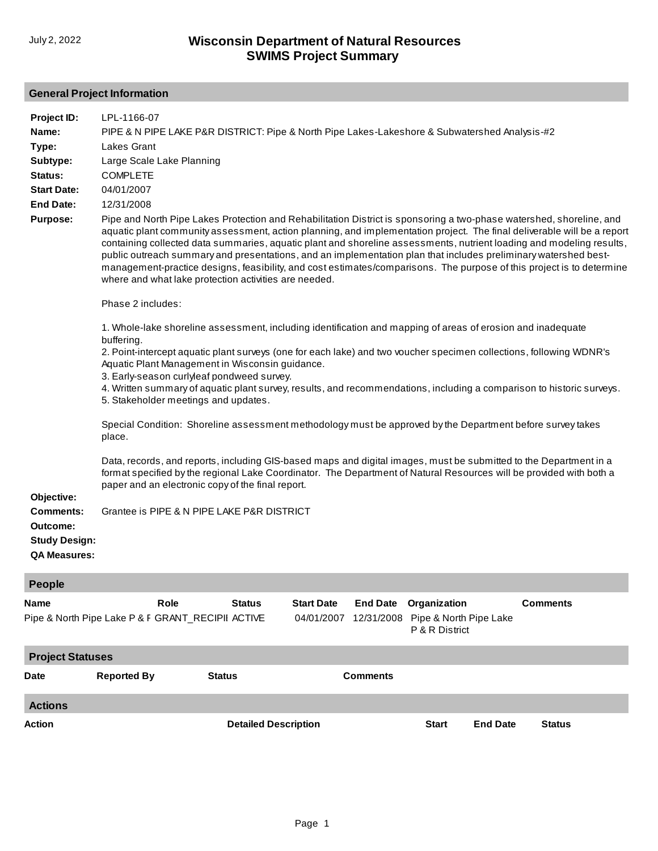## **General Project Information**

| Project ID:<br>Name:<br>Type:<br>Subtype:                                   | LPL-1166-07<br>PIPE & N PIPE LAKE P&R DISTRICT: Pipe & North Pipe Lakes-Lakeshore & Subwatershed Analysis-#2<br>Lakes Grant<br>Large Scale Lake Planning                                                                                                                                                                                                                                                                                                                                                                                                                                                                                                                                   |                             |                                 |                               |                                                          |                 |                 |  |
|-----------------------------------------------------------------------------|--------------------------------------------------------------------------------------------------------------------------------------------------------------------------------------------------------------------------------------------------------------------------------------------------------------------------------------------------------------------------------------------------------------------------------------------------------------------------------------------------------------------------------------------------------------------------------------------------------------------------------------------------------------------------------------------|-----------------------------|---------------------------------|-------------------------------|----------------------------------------------------------|-----------------|-----------------|--|
| Status:<br><b>Start Date:</b>                                               | <b>COMPLETE</b><br>04/01/2007                                                                                                                                                                                                                                                                                                                                                                                                                                                                                                                                                                                                                                                              |                             |                                 |                               |                                                          |                 |                 |  |
| <b>End Date:</b><br><b>Purpose:</b>                                         | 12/31/2008<br>Pipe and North Pipe Lakes Protection and Rehabilitation District is sponsoring a two-phase watershed, shoreline, and<br>aquatic plant community assessment, action planning, and implementation project. The final deliverable will be a report<br>containing collected data summaries, aquatic plant and shoreline assessments, nutrient loading and modeling results,<br>public outreach summary and presentations, and an implementation plan that includes preliminary watershed best-<br>management-practice designs, feasibility, and cost estimates/comparisons. The purpose of this project is to determine<br>where and what lake protection activities are needed. |                             |                                 |                               |                                                          |                 |                 |  |
|                                                                             | Phase 2 includes:                                                                                                                                                                                                                                                                                                                                                                                                                                                                                                                                                                                                                                                                          |                             |                                 |                               |                                                          |                 |                 |  |
|                                                                             | 1. Whole-lake shoreline assessment, including identification and mapping of areas of erosion and inadequate<br>buffering.<br>2. Point-intercept aquatic plant surveys (one for each lake) and two voucher specimen collections, following WDNR's<br>Aquatic Plant Management in Wisconsin guidance.<br>3. Early-season curlyleaf pondweed survey.<br>4. Written summary of aquatic plant survey, results, and recommendations, including a comparison to historic surveys.<br>5. Stakeholder meetings and updates.                                                                                                                                                                         |                             |                                 |                               |                                                          |                 |                 |  |
|                                                                             | Special Condition: Shoreline assessment methodology must be approved by the Department before survey takes<br>place.                                                                                                                                                                                                                                                                                                                                                                                                                                                                                                                                                                       |                             |                                 |                               |                                                          |                 |                 |  |
| Objective:                                                                  | Data, records, and reports, including GIS-based maps and digital images, must be submitted to the Department in a<br>format specified by the regional Lake Coordinator. The Department of Natural Resources will be provided with both a<br>paper and an electronic copy of the final report.                                                                                                                                                                                                                                                                                                                                                                                              |                             |                                 |                               |                                                          |                 |                 |  |
| <b>Comments:</b><br>Outcome:<br><b>Study Design:</b><br><b>QA Measures:</b> | Grantee is PIPE & N PIPE LAKE P&R DISTRICT                                                                                                                                                                                                                                                                                                                                                                                                                                                                                                                                                                                                                                                 |                             |                                 |                               |                                                          |                 |                 |  |
| <b>People</b>                                                               |                                                                                                                                                                                                                                                                                                                                                                                                                                                                                                                                                                                                                                                                                            |                             |                                 |                               |                                                          |                 |                 |  |
| Name                                                                        | Role<br>Pipe & North Pipe Lake P & F GRANT_RECIPII ACTIVE                                                                                                                                                                                                                                                                                                                                                                                                                                                                                                                                                                                                                                  | <b>Status</b>               | <b>Start Date</b><br>04/01/2007 | <b>End Date</b><br>12/31/2008 | Organization<br>Pipe & North Pipe Lake<br>P & R District |                 | <b>Comments</b> |  |
| <b>Project Statuses</b>                                                     |                                                                                                                                                                                                                                                                                                                                                                                                                                                                                                                                                                                                                                                                                            |                             |                                 |                               |                                                          |                 |                 |  |
| Date                                                                        | <b>Reported By</b>                                                                                                                                                                                                                                                                                                                                                                                                                                                                                                                                                                                                                                                                         | <b>Status</b>               |                                 | <b>Comments</b>               |                                                          |                 |                 |  |
| <b>Actions</b>                                                              |                                                                                                                                                                                                                                                                                                                                                                                                                                                                                                                                                                                                                                                                                            |                             |                                 |                               |                                                          |                 |                 |  |
| Action                                                                      |                                                                                                                                                                                                                                                                                                                                                                                                                                                                                                                                                                                                                                                                                            | <b>Detailed Description</b> |                                 |                               | <b>Start</b>                                             | <b>End Date</b> | <b>Status</b>   |  |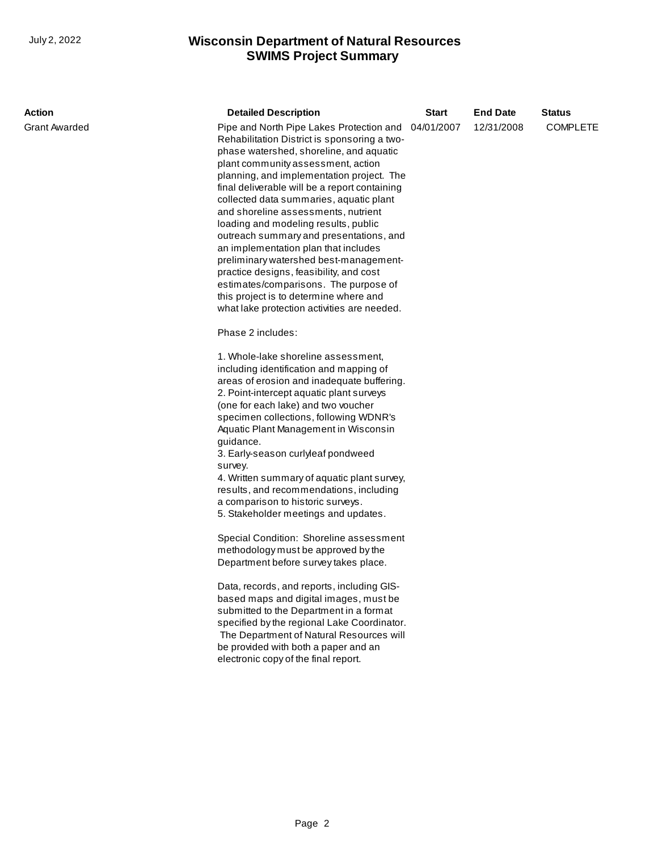## **SWIMS Project Summary** July 2, 2022 **Wisconsin Department of Natural Resources**

| Action        | <b>Detailed Description</b>                                                                                                                                                                                                                                                                                                                                                                                                                                                                                                                                                                                      | <b>Start</b>                                                      | <b>End Date</b> | <b>Status</b> |  |  |
|---------------|------------------------------------------------------------------------------------------------------------------------------------------------------------------------------------------------------------------------------------------------------------------------------------------------------------------------------------------------------------------------------------------------------------------------------------------------------------------------------------------------------------------------------------------------------------------------------------------------------------------|-------------------------------------------------------------------|-----------------|---------------|--|--|
| Grant Awarded | Rehabilitation District is sponsoring a two-<br>phase watershed, shoreline, and aquatic<br>plant community assessment, action<br>planning, and implementation project. The<br>final deliverable will be a report containing<br>collected data summaries, aquatic plant<br>and shoreline assessments, nutrient<br>loading and modeling results, public<br>outreach summary and presentations, and<br>an implementation plan that includes<br>preliminary watershed best-management-<br>practice designs, feasibility, and cost<br>estimates/comparisons. The purpose of<br>this project is to determine where and | Pipe and North Pipe Lakes Protection and 04/01/2007<br>12/31/2008 |                 |               |  |  |
|               | what lake protection activities are needed.<br>Phase 2 includes:                                                                                                                                                                                                                                                                                                                                                                                                                                                                                                                                                 |                                                                   |                 |               |  |  |
|               | 1. Whole-lake shoreline assessment,<br>including identification and mapping of<br>areas of erosion and inadequate buffering.<br>2. Point-intercept aquatic plant surveys<br>(one for each lake) and two voucher<br>specimen collections, following WDNR's<br>Aquatic Plant Management in Wisconsin<br>guidance.<br>3. Early-season curlyleaf pondweed<br>survey.<br>4. Written summary of aquatic plant survey,<br>results, and recommendations, including<br>a comparison to historic surveys.<br>5. Stakeholder meetings and updates.                                                                          |                                                                   |                 |               |  |  |
|               | Special Condition: Shoreline assessment<br>methodology must be approved by the<br>Department before survey takes place.                                                                                                                                                                                                                                                                                                                                                                                                                                                                                          |                                                                   |                 |               |  |  |
|               | Data, records, and reports, including GIS-<br>based maps and digital images, must be<br>submitted to the Department in a format<br>specified by the regional Lake Coordinator.<br>The Department of Natural Resources will<br>be provided with both a paper and an<br>electronic copy of the final report.                                                                                                                                                                                                                                                                                                       |                                                                   |                 |               |  |  |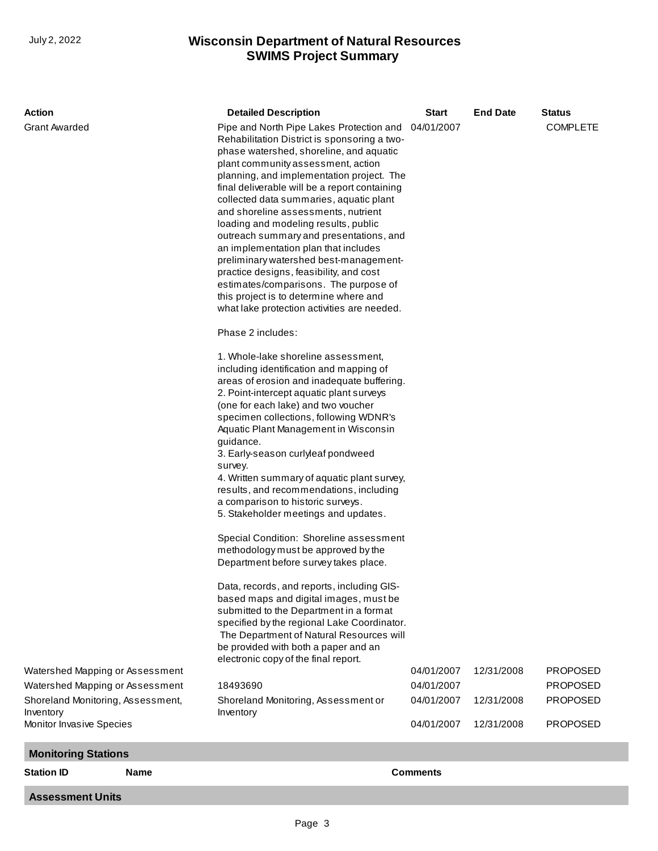## **SWIMS Project Summary** July 2, 2022 **Wisconsin Department of Natural Resources**

| <b>Action</b>                                                                                                                   | <b>Detailed Description</b>                                                                                                                                                                                                                                                                                                                                                                                                                                                                                                                                                                                                                                                                                                                                                                                                                                                                                                                                                                                                                                                                                                                                                                                                                                                                                                                                                                                                                                                                                                                                                                                                                                                                                                                                             | <b>Start</b>                                         | <b>End Date</b>          | <b>Status</b>                                                            |
|---------------------------------------------------------------------------------------------------------------------------------|-------------------------------------------------------------------------------------------------------------------------------------------------------------------------------------------------------------------------------------------------------------------------------------------------------------------------------------------------------------------------------------------------------------------------------------------------------------------------------------------------------------------------------------------------------------------------------------------------------------------------------------------------------------------------------------------------------------------------------------------------------------------------------------------------------------------------------------------------------------------------------------------------------------------------------------------------------------------------------------------------------------------------------------------------------------------------------------------------------------------------------------------------------------------------------------------------------------------------------------------------------------------------------------------------------------------------------------------------------------------------------------------------------------------------------------------------------------------------------------------------------------------------------------------------------------------------------------------------------------------------------------------------------------------------------------------------------------------------------------------------------------------------|------------------------------------------------------|--------------------------|--------------------------------------------------------------------------|
| <b>Grant Awarded</b><br>Watershed Mapping or Assessment<br>Watershed Mapping or Assessment<br>Shoreland Monitoring, Assessment, | Pipe and North Pipe Lakes Protection and<br>Rehabilitation District is sponsoring a two-<br>phase watershed, shoreline, and aquatic<br>plant community assessment, action<br>planning, and implementation project. The<br>final deliverable will be a report containing<br>collected data summaries, aquatic plant<br>and shoreline assessments, nutrient<br>loading and modeling results, public<br>outreach summary and presentations, and<br>an implementation plan that includes<br>preliminary watershed best-management-<br>practice designs, feasibility, and cost<br>estimates/comparisons. The purpose of<br>this project is to determine where and<br>what lake protection activities are needed.<br>Phase 2 includes:<br>1. Whole-lake shoreline assessment,<br>including identification and mapping of<br>areas of erosion and inadequate buffering.<br>2. Point-intercept aquatic plant surveys<br>(one for each lake) and two voucher<br>specimen collections, following WDNR's<br>Aquatic Plant Management in Wisconsin<br>guidance.<br>3. Early-season curlyleaf pondweed<br>survey.<br>4. Written summary of aquatic plant survey,<br>results, and recommendations, including<br>a comparison to historic surveys.<br>5. Stakeholder meetings and updates.<br>Special Condition: Shoreline assessment<br>methodology must be approved by the<br>Department before survey takes place.<br>Data, records, and reports, including GIS-<br>based maps and digital images, must be<br>submitted to the Department in a format<br>specified by the regional Lake Coordinator.<br>The Department of Natural Resources will<br>be provided with both a paper and an<br>electronic copy of the final report.<br>18493690<br>Shoreland Monitoring, Assessment or | 04/01/2007<br>04/01/2007<br>04/01/2007<br>04/01/2007 | 12/31/2008<br>12/31/2008 | <b>COMPLETE</b><br><b>PROPOSED</b><br><b>PROPOSED</b><br><b>PROPOSED</b> |
| Inventory<br>Monitor Invasive Species                                                                                           | Inventory                                                                                                                                                                                                                                                                                                                                                                                                                                                                                                                                                                                                                                                                                                                                                                                                                                                                                                                                                                                                                                                                                                                                                                                                                                                                                                                                                                                                                                                                                                                                                                                                                                                                                                                                                               | 04/01/2007                                           | 12/31/2008               | <b>PROPOSED</b>                                                          |
|                                                                                                                                 |                                                                                                                                                                                                                                                                                                                                                                                                                                                                                                                                                                                                                                                                                                                                                                                                                                                                                                                                                                                                                                                                                                                                                                                                                                                                                                                                                                                                                                                                                                                                                                                                                                                                                                                                                                         |                                                      |                          |                                                                          |
| <b>Monitoring Stations</b>                                                                                                      |                                                                                                                                                                                                                                                                                                                                                                                                                                                                                                                                                                                                                                                                                                                                                                                                                                                                                                                                                                                                                                                                                                                                                                                                                                                                                                                                                                                                                                                                                                                                                                                                                                                                                                                                                                         |                                                      |                          |                                                                          |
| <b>Station ID</b><br><b>Name</b>                                                                                                |                                                                                                                                                                                                                                                                                                                                                                                                                                                                                                                                                                                                                                                                                                                                                                                                                                                                                                                                                                                                                                                                                                                                                                                                                                                                                                                                                                                                                                                                                                                                                                                                                                                                                                                                                                         | <b>Comments</b>                                      |                          |                                                                          |

**Assessment Units**